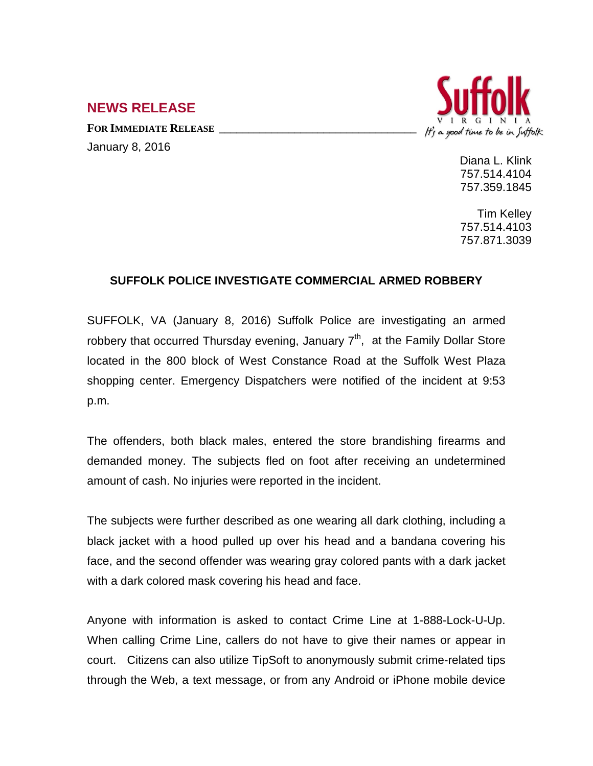## It's a good time to be in Suffolk

## **NEWS RELEASE**

FOR **IMMEDIATE RELEASE** January 8, 2016

> Diana L. Klink 757.514.4104 757.359.1845

> Tim Kelley 757.514.4103 757.871.3039

## **SUFFOLK POLICE INVESTIGATE COMMERCIAL ARMED ROBBERY**

SUFFOLK, VA (January 8, 2016) Suffolk Police are investigating an armed robbery that occurred Thursday evening, January  $7<sup>th</sup>$ , at the Family Dollar Store located in the 800 block of West Constance Road at the Suffolk West Plaza shopping center. Emergency Dispatchers were notified of the incident at 9:53 p.m.

The offenders, both black males, entered the store brandishing firearms and demanded money. The subjects fled on foot after receiving an undetermined amount of cash. No injuries were reported in the incident.

The subjects were further described as one wearing all dark clothing, including a black jacket with a hood pulled up over his head and a bandana covering his face, and the second offender was wearing gray colored pants with a dark jacket with a dark colored mask covering his head and face.

Anyone with information is asked to contact Crime Line at 1-888-Lock-U-Up. When calling Crime Line, callers do not have to give their names or appear in court. Citizens can also utilize TipSoft to anonymously submit crime-related tips through the Web, a text message, or from any Android or iPhone mobile device